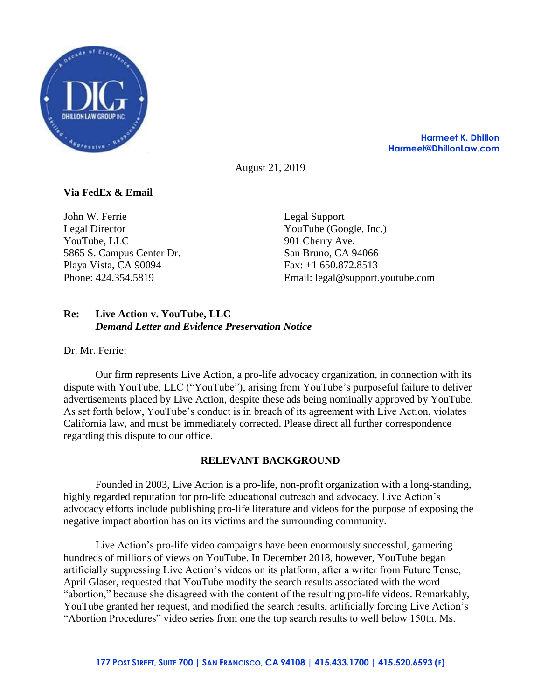

**Harmeet K. Dhillon Harmeet@DhillonLaw.com**

August 21, 2019

# **Via FedEx & Email**

John W. Ferrie Legal Director YouTube, LLC 5865 S. Campus Center Dr. Playa Vista, CA 90094 Phone: 424.354.5819

Legal Support YouTube (Google, Inc.) 901 Cherry Ave. San Bruno, CA 94066 Fax: +1 650.872.8513 Email: legal@support.youtube.com

## **Re: Live Action v. YouTube, LLC** *Demand Letter and Evidence Preservation Notice*

Dr. Mr. Ferrie:

Our firm represents Live Action, a pro-life advocacy organization, in connection with its dispute with YouTube, LLC ("YouTube"), arising from YouTube's purposeful failure to deliver advertisements placed by Live Action, despite these ads being nominally approved by YouTube. As set forth below, YouTube's conduct is in breach of its agreement with Live Action, violates California law, and must be immediately corrected. Please direct all further correspondence regarding this dispute to our office.

## **RELEVANT BACKGROUND**

Founded in 2003, Live Action is a pro-life, non-profit organization with a long-standing, highly regarded reputation for pro-life educational outreach and advocacy. Live Action's advocacy efforts include publishing pro-life literature and videos for the purpose of exposing the negative impact abortion has on its victims and the surrounding community.

Live Action's pro-life video campaigns have been enormously successful, garnering hundreds of millions of views on YouTube. In December 2018, however, YouTube began artificially suppressing Live Action's videos on its platform, after a writer from Future Tense, April Glaser, requested that YouTube modify the search results associated with the word "abortion," because she disagreed with the content of the resulting pro-life videos. Remarkably, YouTube granted her request, and modified the search results, artificially forcing Live Action's "Abortion Procedures" video series from one the top search results to well below 150th. Ms.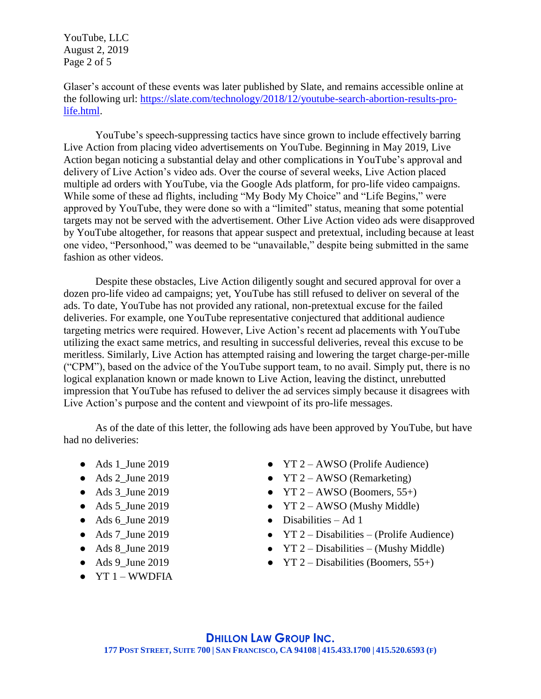YouTube, LLC August 2, 2019 Page 2 of 5

Glaser's account of these events was later published by Slate, and remains accessible online at the following url: [https://slate.com/technology/2018/12/youtube-search-abortion-results-pro](https://slate.com/technology/2018/12/youtube-search-abortion-results-pro-life.html)[life.html.](https://slate.com/technology/2018/12/youtube-search-abortion-results-pro-life.html)

YouTube's speech-suppressing tactics have since grown to include effectively barring Live Action from placing video advertisements on YouTube. Beginning in May 2019, Live Action began noticing a substantial delay and other complications in YouTube's approval and delivery of Live Action's video ads. Over the course of several weeks, Live Action placed multiple ad orders with YouTube, via the Google Ads platform, for pro-life video campaigns. While some of these ad flights, including "My Body My Choice" and "Life Begins," were approved by YouTube, they were done so with a "limited" status, meaning that some potential targets may not be served with the advertisement. Other Live Action video ads were disapproved by YouTube altogether, for reasons that appear suspect and pretextual, including because at least one video, "Personhood," was deemed to be "unavailable," despite being submitted in the same fashion as other videos.

Despite these obstacles, Live Action diligently sought and secured approval for over a dozen pro-life video ad campaigns; yet, YouTube has still refused to deliver on several of the ads. To date, YouTube has not provided any rational, non-pretextual excuse for the failed deliveries. For example, one YouTube representative conjectured that additional audience targeting metrics were required. However, Live Action's recent ad placements with YouTube utilizing the exact same metrics, and resulting in successful deliveries, reveal this excuse to be meritless. Similarly, Live Action has attempted raising and lowering the target charge-per-mille ("CPM"), based on the advice of the YouTube support team, to no avail. Simply put, there is no logical explanation known or made known to Live Action, leaving the distinct, unrebutted impression that YouTube has refused to deliver the ad services simply because it disagrees with Live Action's purpose and the content and viewpoint of its pro-life messages.

As of the date of this letter, the following ads have been approved by YouTube, but have had no deliveries:

- Ads 1\_June 2019
- $\bullet$  Ads 2 June 2019
- $\bullet$  Ads 3 June 2019
- $\bullet$  Ads 5 June 2019
- $\bullet$  Ads 6 June 2019
- Ads 7\_June 2019
- Ads 8\_June 2019
- $\bullet$  Ads 9\_June 2019
- $\bullet$  YT 1 WWDFIA
- YT 2 AWSO (Prolife Audience)
- $YT 2 AWSO (Remarketing)$
- $YT 2 AWSO (Boomers, 55+)$
- $YT 2 AWSO (Mushy Middle)$
- $\bullet$  Disabilities Ad 1
- YT  $2$  Disabilities (Prolife Audience)
- $YT 2 Disabilities (Mushy Middle)$
- YT 2 Disabilities (Boomers,  $55+$ )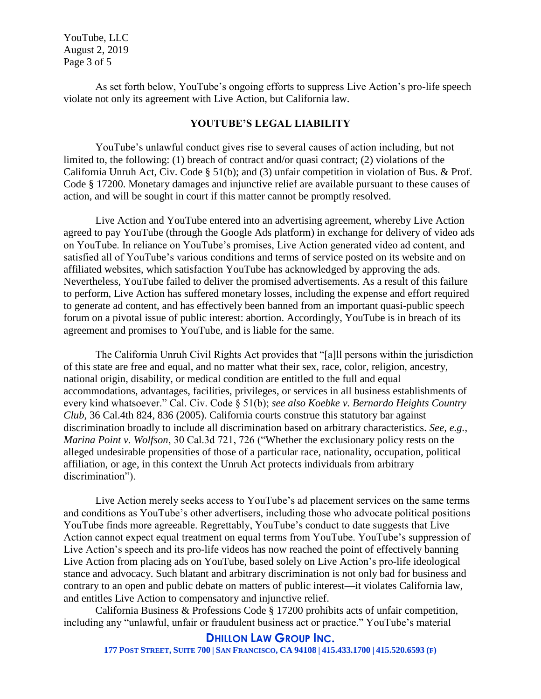YouTube, LLC August 2, 2019 Page 3 of 5

As set forth below, YouTube's ongoing efforts to suppress Live Action's pro-life speech violate not only its agreement with Live Action, but California law.

### **YOUTUBE'S LEGAL LIABILITY**

YouTube's unlawful conduct gives rise to several causes of action including, but not limited to, the following: (1) breach of contract and/or quasi contract; (2) violations of the California Unruh Act, Civ. Code § 51(b); and (3) unfair competition in violation of Bus. & Prof. Code § 17200. Monetary damages and injunctive relief are available pursuant to these causes of action, and will be sought in court if this matter cannot be promptly resolved.

Live Action and YouTube entered into an advertising agreement, whereby Live Action agreed to pay YouTube (through the Google Ads platform) in exchange for delivery of video ads on YouTube. In reliance on YouTube's promises, Live Action generated video ad content, and satisfied all of YouTube's various conditions and terms of service posted on its website and on affiliated websites, which satisfaction YouTube has acknowledged by approving the ads. Nevertheless, YouTube failed to deliver the promised advertisements. As a result of this failure to perform, Live Action has suffered monetary losses, including the expense and effort required to generate ad content, and has effectively been banned from an important quasi-public speech forum on a pivotal issue of public interest: abortion. Accordingly, YouTube is in breach of its agreement and promises to YouTube, and is liable for the same.

The California Unruh Civil Rights Act provides that "[a]ll persons within the jurisdiction of this state are free and equal, and no matter what their sex, race, color, religion, ancestry, national origin, disability, or medical condition are entitled to the full and equal accommodations, advantages, facilities, privileges, or services in all business establishments of every kind whatsoever." Cal. Civ. Code § 51(b); *see also Koebke v. Bernardo Heights Country Club*, 36 Cal.4th 824, 836 (2005). California courts construe this statutory bar against discrimination broadly to include all discrimination based on arbitrary characteristics. *See, e.g.*, *Marina Point v. Wolfson*, 30 Cal.3d 721, 726 ("Whether the exclusionary policy rests on the alleged undesirable propensities of those of a particular race, nationality, occupation, political affiliation, or age, in this context the Unruh Act protects individuals from arbitrary discrimination").

Live Action merely seeks access to YouTube's ad placement services on the same terms and conditions as YouTube's other advertisers, including those who advocate political positions YouTube finds more agreeable. Regrettably, YouTube's conduct to date suggests that Live Action cannot expect equal treatment on equal terms from YouTube. YouTube's suppression of Live Action's speech and its pro-life videos has now reached the point of effectively banning Live Action from placing ads on YouTube, based solely on Live Action's pro-life ideological stance and advocacy. Such blatant and arbitrary discrimination is not only bad for business and contrary to an open and public debate on matters of public interest—it violates California law, and entitles Live Action to compensatory and injunctive relief.

California Business & Professions Code § 17200 prohibits acts of unfair competition, including any "unlawful, unfair or fraudulent business act or practice." YouTube's material

### **DHILLON LAW GROUP INC.**

177 POST STREET, SUITE 700 | SAN FRANCISCO, CA 94108 | 415.433.1700 | 415.520.6593 (F)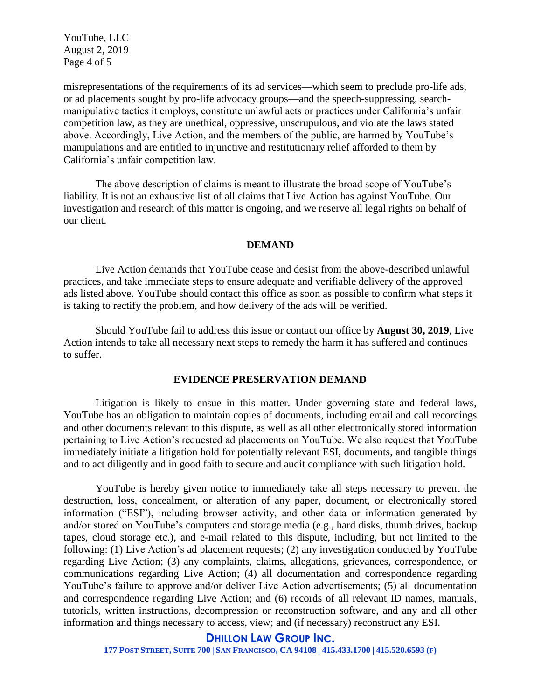YouTube, LLC August 2, 2019 Page 4 of 5

misrepresentations of the requirements of its ad services—which seem to preclude pro-life ads, or ad placements sought by pro-life advocacy groups—and the speech-suppressing, searchmanipulative tactics it employs, constitute unlawful acts or practices under California's unfair competition law, as they are unethical, oppressive, unscrupulous, and violate the laws stated above. Accordingly, Live Action, and the members of the public, are harmed by YouTube's manipulations and are entitled to injunctive and restitutionary relief afforded to them by California's unfair competition law.

The above description of claims is meant to illustrate the broad scope of YouTube's liability. It is not an exhaustive list of all claims that Live Action has against YouTube. Our investigation and research of this matter is ongoing, and we reserve all legal rights on behalf of our client.

#### **DEMAND**

Live Action demands that YouTube cease and desist from the above-described unlawful practices, and take immediate steps to ensure adequate and verifiable delivery of the approved ads listed above. YouTube should contact this office as soon as possible to confirm what steps it is taking to rectify the problem, and how delivery of the ads will be verified.

Should YouTube fail to address this issue or contact our office by **August 30, 2019**, Live Action intends to take all necessary next steps to remedy the harm it has suffered and continues to suffer.

## **EVIDENCE PRESERVATION DEMAND**

Litigation is likely to ensue in this matter. Under governing state and federal laws, YouTube has an obligation to maintain copies of documents, including email and call recordings and other documents relevant to this dispute, as well as all other electronically stored information pertaining to Live Action's requested ad placements on YouTube. We also request that YouTube immediately initiate a litigation hold for potentially relevant ESI, documents, and tangible things and to act diligently and in good faith to secure and audit compliance with such litigation hold.

YouTube is hereby given notice to immediately take all steps necessary to prevent the destruction, loss, concealment, or alteration of any paper, document, or electronically stored information ("ESI"), including browser activity, and other data or information generated by and/or stored on YouTube's computers and storage media (e.g., hard disks, thumb drives, backup tapes, cloud storage etc.), and e-mail related to this dispute, including, but not limited to the following: (1) Live Action's ad placement requests; (2) any investigation conducted by YouTube regarding Live Action; (3) any complaints, claims, allegations, grievances, correspondence, or communications regarding Live Action; (4) all documentation and correspondence regarding YouTube's failure to approve and/or deliver Live Action advertisements; (5) all documentation and correspondence regarding Live Action; and (6) records of all relevant ID names, manuals, tutorials, written instructions, decompression or reconstruction software, and any and all other information and things necessary to access, view; and (if necessary) reconstruct any ESI.

#### **DHILLON LAW GROUP INC.**

177 POST STREET, SUITE 700 | SAN FRANCISCO, CA 94108 | 415.433.1700 | 415.520.6593 (F)